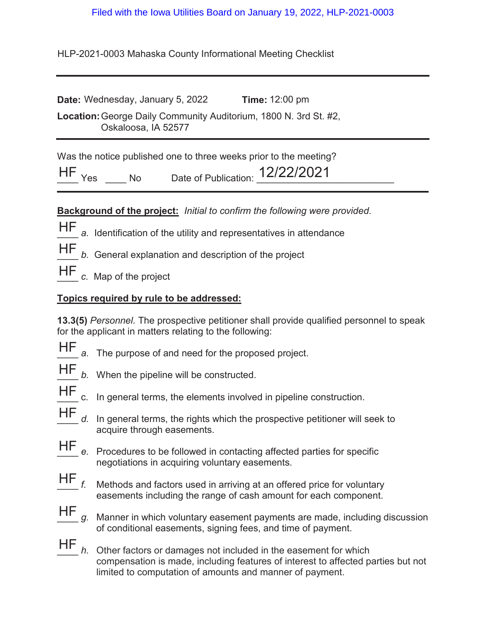## Filed with the Iowa Utilities Board on January 19, 2022, HLP-2021-0003

HLP-2021-0003 Mahaska County Informational Meeting Checklist

**Date:** Wednesday, January 5, 2022 **19.** Time: 12:00 pm **Location:** George Daily Community Auditorium, 1800 N. 3rd St. #2, Oskaloosa, IA 52577

Was the notice published one to three weeks prior to the meeting?

**HF** Yes \_\_\_\_ No Date of Publication:  $12/22/2021$ 

**Background of the project:** *Initial to confirm the following were provided.*

- HF a. Identification of the utility and representatives in attendance
- HF

b. General explanation and description of the project

HF c. Map of the project

## **Topics required by rule to be addressed:**

**13.3(5)** *Personnel.* The prospective petitioner shall provide qualified personnel to speak for the applicant in matters relating to the following:

- 
- HF a. The purpose of and need for the proposed project.
- 
- HF *b.* When the pipeline will be constructed.
- 
- HF c. In general terms, the elements involved in pipeline construction.
- d. In general terms, the rights which the prospective petitioner will seek to acquire through easements. HF
- Procedures to be followed in contacting affected parties for specific negotiations in acquiring voluntary easements.  $HF_e$
- Methods and factors used in arriving at an offered price for voluntary easements including the range of cash amount for each component.  $HF_{f.}$
- Manner in which voluntary easement payments are made, including discussion of conditional easements, signing fees, and time of payment. HF
- \_\_\_\_ *h.* Other factors or damages not included in the easement for which compensation is made, including features of interest to affected parties but not limited to computation of amounts and manner of payment.  $HF$ <sub>h.</sub>